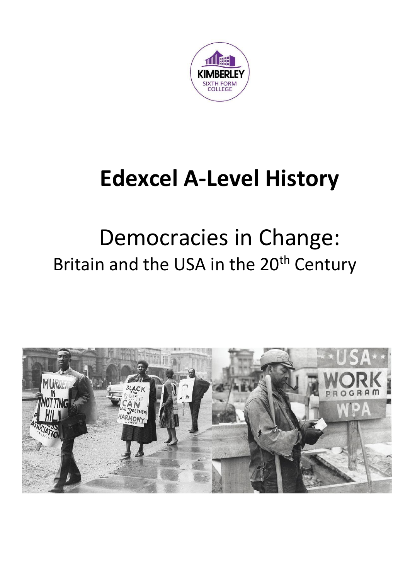

## **Edexcel A-Level History**

## Democracies in Change: Britain and the USA in the 20<sup>th</sup> Century

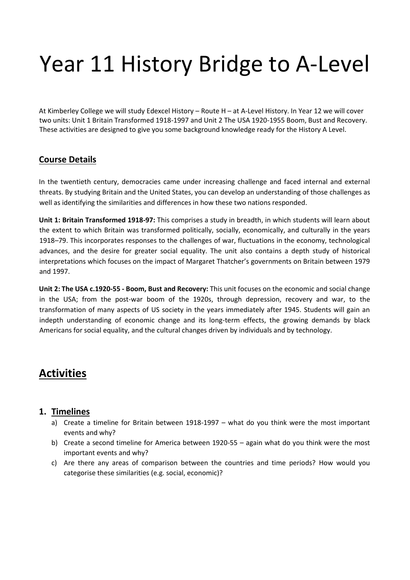# Year 11 History Bridge to A-Level

At Kimberley College we will study Edexcel History – Route H – at A-Level History. In Year 12 we will cover two units: Unit 1 Britain Transformed 1918-1997 and Unit 2 The USA 1920-1955 Boom, Bust and Recovery. These activities are designed to give you some background knowledge ready for the History A Level.

#### **Course Details**

In the twentieth century, democracies came under increasing challenge and faced internal and external threats. By studying Britain and the United States, you can develop an understanding of those challenges as well as identifying the similarities and differences in how these two nations responded.

**Unit 1: Britain Transformed 1918-97:** This comprises a study in breadth, in which students will learn about the extent to which Britain was transformed politically, socially, economically, and culturally in the years 1918–79. This incorporates responses to the challenges of war, fluctuations in the economy, technological advances, and the desire for greater social equality. The unit also contains a depth study of historical interpretations which focuses on the impact of Margaret Thatcher's governments on Britain between 1979 and 1997.

**Unit 2: The USA c.1920-55 - Boom, Bust and Recovery:** This unit focuses on the economic and social change in the USA; from the post-war boom of the 1920s, through depression, recovery and war, to the transformation of many aspects of US society in the years immediately after 1945. Students will gain an indepth understanding of economic change and its long-term effects, the growing demands by black Americans for social equality, and the cultural changes driven by individuals and by technology.

### **Activities**

#### **1. Timelines**

- a) Create a timeline for Britain between 1918-1997 what do you think were the most important events and why?
- b) Create a second timeline for America between 1920-55 again what do you think were the most important events and why?
- c) Are there any areas of comparison between the countries and time periods? How would you categorise these similarities (e.g. social, economic)?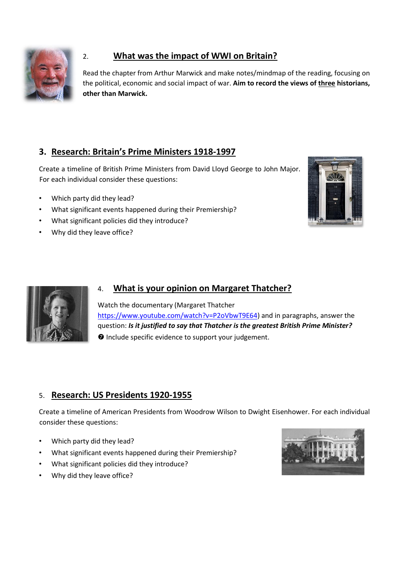

#### 2. **What was the impact of WWI on Britain?**

Read the chapter from Arthur Marwick and make notes/mindmap of the reading, focusing on the political, economic and social impact of war. **Aim to record the views of three historians, other than Marwick.** 

#### **3. Research: Britain's Prime Ministers 1918-1997**

Create a timeline of British Prime Ministers from David Lloyd George to John Major. For each individual consider these questions:

- Which party did they lead?
- What significant events happened during their Premiership?
- What significant policies did they introduce?
- Why did they leave office?





#### 4. **What is your opinion on Margaret Thatcher?**

Watch the documentary (Margaret Thatcher [https://www.youtube.com/watch?v=P2oVbwT9E64\)](https://www.youtube.com/watch?v=P2oVbwT9E64) and in paragraphs, answer the question: *Is it justified to say that Thatcher is the greatest British Prime Minister?*  **O** Include specific evidence to support your judgement.

#### 5. **Research: US Presidents 1920-1955**

Create a timeline of American Presidents from Woodrow Wilson to Dwight Eisenhower. For each individual consider these questions:

- Which party did they lead?
- What significant events happened during their Premiership?
- What significant policies did they introduce?
- Why did they leave office?